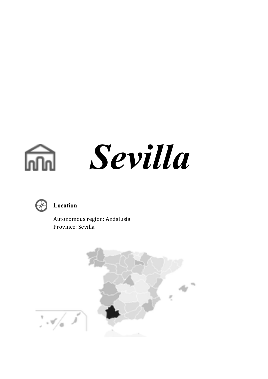



### **Location**

 Autonomous region: Andalusia Province: Sevilla

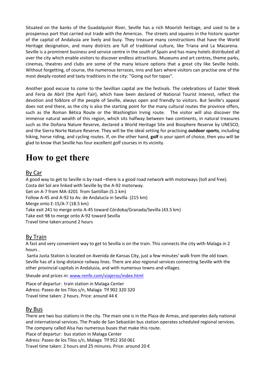Situated on the banks of the Guadalquivir River, Seville has a rich Moorish heritage, and used to be a prosperous port that carried out trade with the Americas. The streets and squares in the historic quarter of the capital of Andalusia are lively and busy. They treasure many constructions that have the World Heritage designation, and many districts are full of traditional culture, like Triana and La Macarena. Seville is a prominent business and service centre in the south of Spain and has many hotels distributed all over the city which enable visitors to discover endless attractions. Museums and art centres, theme parks, cinemas, theatres and clubs are some of the many leisure options that a great city like Seville holds. Without forgetting, of course, the numerous terraces, inns and bars where visitors can practise one of the most deeply-rooted and tasty traditions in the city: "Going out for tapas".

Another good excuse to come to the Sevillian capital are the festivals. The celebrations of Easter Week and Feria de Abril (the April Fair), which have been declared of National Tourist Interest, reflect the devotion and folklore of the people of Seville, always open and friendly to visitors. But Seville's appeal does not end there, as the city is also the starting point for the many cultural routes the province offers, such as the Roman Bética Route or the Washington Irving route. The visitor will also discover the immense natural wealth of this region, which sits halfway between two continents, in natural treasures such as the Doñana Nature Reserve, declared a World Heritage Site and Biosphere Reserve by UNESCO, and the Sierra Norte Nature Reserve. They will be the ideal setting for practising **outdoor sports**, including hiking, horse riding, and cycling routes. If, on the other hand, **golf** is your sport of choice, then you will be glad to know that Seville has four excellent golf courses in its vicinity.

### **How to get there**

### By Car

A good way to get to Seville is by road –there is a good road network with motorways (toll and free). Costa del Sol are linked with Seville by the A-92 motorway. Get on A-7 from MA-3201 from Santillan (5.1 km) Follow A-45 and A-92 to Av. de Andalucía in Sevilla (215 km) Merge onto E-15/A-7 (18.5 km) Take exit 241 to merge onto A-45 toward Córdoba/Granada/Sevilla (43.5 km) Take exit 98 to merge onto A-92 toward Sevilla Travel time taken:around 2 hours

### By Train

A fast and very convenient way to get to Sevilla is on the train. This connects the city with Malaga in 2 hours .

Santa Justa Station is located on Avenida de Kansas City, just a few minutes' walk from the old town. Seville has of a long-distance railway lines. There are also regional services connecting Seville with the other provincial capitals in Andalusia, and with numerous towns and villages.

Sheude and prices in: www.renfe.com/viajeros/index.html

Place of departur: train station in Malaga Center Adress: Paseo de los Tilos s/n, Malaga Tlf 902 320 320 Travel time taken: 2 hours. Price: around 44 €

### By Bus

There are two bus stations in the city. The main one is in the Plaza de Armas, and operates daily national and international services. The Prado de San Sebastián bus station operates scheduled regional services. The company called Alsa has numerous buses that make this route. Place of departur: bus station in Malaga Center Adress: Paseo de los Tilos s/n, Malaga Tlf 952 350 061 Travel time taken: 2 hours and 25 minures. Price: around 20 €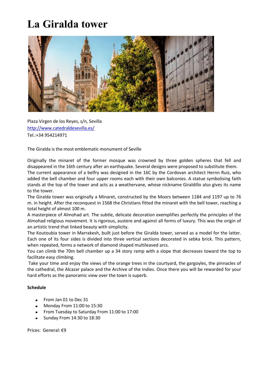# **La Giralda tower**



Plaza Virgen de los Reyes, s/n, Sevilla http://www.catedraldesevilla.es/ Tel.:+34 954214971

The Giralda is the most emblematic monument of Seville

Originally the minaret of the former mosque was crowned by three golden spheres that fell and disappeared in the 16th century after an earthquake. Several designs were proposed to substitute them.

The current appearance of a belfry was designed in the 16C by the Cordovan architect Hernn Ruiz, who added the bell chamber and four upper rooms each with their own balconies. A statue symbolising faith stands at the top of the tower and acts as a weathervane, whose nickname Giraldillo also gives its name to the tower.

The Giralda tower was originally a Minaret, constructed by the Moors between 1184 and 1197 up to 76 m. in height. After the reconquest in 1568 the Christians fitted the minaret with the bell tower, reaching a total height of almost 100 m.

A masterpiece of Almohad art. The subtle, delicate decoration exemplifies perfectly the principles of the Almohad religious movement. It is rigorous, austere and against all forms of luxury. This was the origin of an artistic trend that linked beauty with simplicity.

The Koutoubia tower in Marrakesh, built just before the Giralda tower, served as a model for the latter. Each one of its four sides is divided into three vertical sections decorated in sebka brick. This pattern, when repeated, forms a network of diamond shaped multileaved arcs.

You can climb the 70m bell chamber up a 34 story ramp with a slope that decreases toward the top to facilitate easy climbing.

Take your time and enjoy the views of the orange trees in the courtyard, the gargoyles, the pinnacles of the cathedral, the Alcazar palace and the Archive of the Indies. Once there you will be rewarded for your hard efforts as the panoramic view over the town is superb.

#### **Schedule**

- From Jan 01 to Dec 31
- Monday From 11:00 to 15:30
- From Tuesday to Saturday From 11:00 to 17:00
- Sunday From 14:30 to 18:30

Prices: General: €9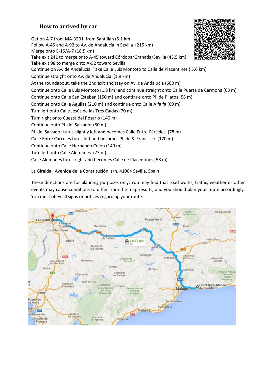### **How to arrived by car**

Get on A-7 from MA-3201 from Santillan (5.1 km) Follow A-45 and A-92 to Av. de Andalucía in Sevilla (215 km) Merge onto E-15/A-7 (18.5 km) Take exit 241 to merge onto A-45 toward Córdoba/Granada/Sevilla (43.5 km) Take exit 98 to merge onto A-92 toward Sevilla Continue on Av. de Andalucía. Take Calle Luis Montoto to Calle de Placentines ( 5.6 km) Continue straight onto Av. de Andalucía (1.9 km) At the roundabout, take the 2nd exit and stay on Av. de Andalucía (600 m) Continue onto Calle Luis Montoto (1.8 km) and continue straight onto Calle Puerta de Carmona (63 m) Continue onto Calle San Esteban (150 m) and continue onto Pl. de Pilatos (58 m) Continue onto Calle Águilas (210 m) and continue onto Calle Alfalfa (69 m) Turn left onto Calle Jesús de las Tres Caídas (70 m) Turn right onto Cuesta del Rosario (140 m) Continue onto Pl. del Salvador (80 m) Pl. del Salvador turns slightly left and becomes Calle Entre Cárceles (78 m) Calle Entre Cárceles turns left and becomes Pl. de S. Francisco (170 m) Continue onto Calle Hernando Colón (140 m) Turn left onto Calle Alemanes (73 m) Calle Alemanes turns right and becomes Calle de Placentines (58 m)

La Giralda. Avenida de la Constitución, s/n, 41004 Sevilla, Spain

These directions are for planning purposes only. You may find that road works, traffic, weather or other events may cause conditions to differ from the map results, and you should plan your route accordingly. You must obey all signs or notices regarding your route.



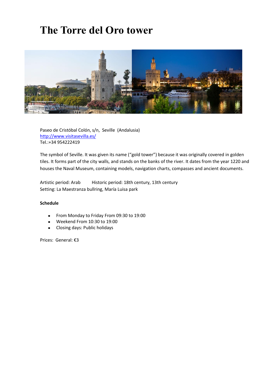## **The Torre del Oro tower**



Paseo de Cristóbal Colón, s/n, Seville (Andalusia) http://www.visitasevilla.es/ Tel.:+34 954222419

The symbol of Seville. It was given its name ("gold tower") because it was originally covered in golden tiles. It forms part of the city walls, and stands on the banks of the river. It dates from the year 1220 and houses the Naval Museum, containing models, navigation charts, compasses and ancient documents.

Artistic period: Arab Historic period: 18th century, 13th century Setting: La Maestranza bullring, María Luisa park

#### **Schedule**

- From Monday to Friday From 09:30 to 19:00  $\bullet$
- Weekend From 10:30 to 19:00
- Closing days: Public holidays  $\bullet$

Prices: General: €3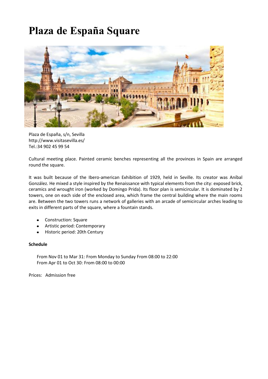## **Plaza de España Square**



Plaza de España, s/n, Sevilla http://www.visitasevilla.es/ Tel.:34 902 45 99 54

Cultural meeting place. Painted ceramic benches representing all the provinces in Spain are arranged round the square.

It was built because of the Ibero-american Exhibition of 1929, held in Seville. Its creator was Aníbal González. He mixed a style inspired by the Renaissance with typical elements from the city: exposed brick, ceramics and wrought iron (worked by Domingo Prida). Its floor plan is semicircular. It is dominated by 2 towers, one on each side of the enclosed area, which frame the central building where the main rooms are. Between the two towers runs a network of galleries with an arcade of semicircular arches leading to exits in different parts of the square, where a fountain stands.

- Construction: Square  $\bullet$
- Artistic period: Contemporary
- Historic period: 20th Century

#### **Schedule**

From Nov 01 to Mar 31: From Monday to Sunday From 08:00 to 22:00 From Apr 01 to Oct 30: From 08:00 to 00:00

Prices: Admission free